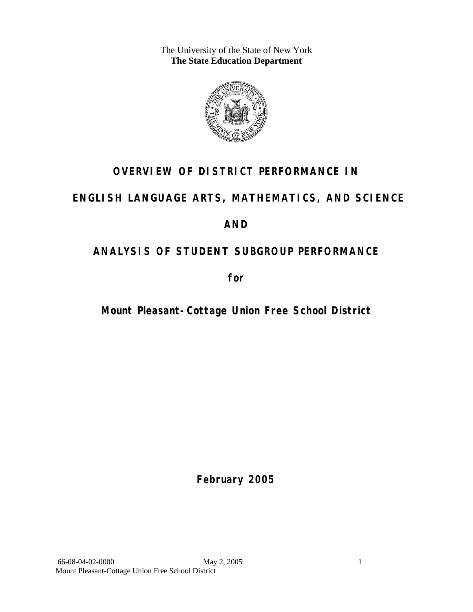The University of the State of New York **The State Education Department** 



# **OVERVIEW OF DISTRICT PERFORMANCE IN**

# **ENGLISH LANGUAGE ARTS, MATHEMATICS, AND SCIENCE**

# **AND**

# **ANALYSIS OF STUDENT SUBGROUP PERFORMANCE**

**for** 

**Mount Pleasant-Cottage Union Free School District**

**February 2005**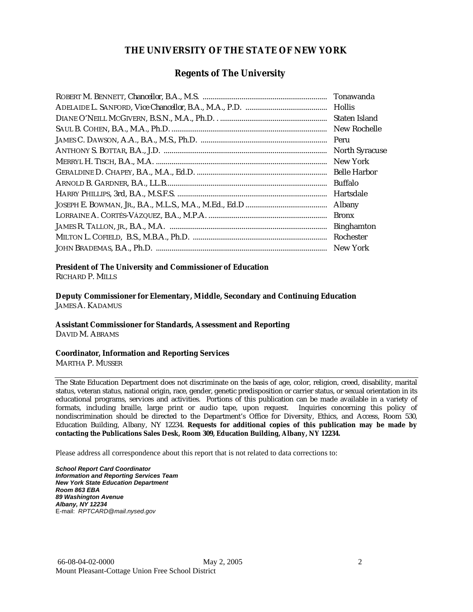#### **THE UNIVERSITY OF THE STATE OF NEW YORK**

#### **Regents of The University**

| Tonawanda             |
|-----------------------|
|                       |
| Staten Island         |
| New Rochelle          |
| Peru                  |
| <b>North Syracuse</b> |
| New York              |
| <b>Belle Harbor</b>   |
| <b>Buffalo</b>        |
| Hartsdale             |
| Albany                |
| <b>Bronx</b>          |
| <b>Binghamton</b>     |
| Rochester             |
| New York              |

# **President of The University and Commissioner of Education**

RICHARD P. MILLS

**Deputy Commissioner for Elementary, Middle, Secondary and Continuing Education**  JAMES A. KADAMUS

#### **Assistant Commissioner for Standards, Assessment and Reporting**  DAVID M. ABRAMS

**Coordinator, Information and Reporting Services** 

MARTHA P. MUSSER

The State Education Department does not discriminate on the basis of age, color, religion, creed, disability, marital status, veteran status, national origin, race, gender, genetic predisposition or carrier status, or sexual orientation in its educational programs, services and activities. Portions of this publication can be made available in a variety of formats, including braille, large print or audio tape, upon request. Inquiries concerning this policy of nondiscrimination should be directed to the Department's Office for Diversity, Ethics, and Access, Room 530, Education Building, Albany, NY 12234. **Requests for additional copies of this publication may be made by contacting the Publications Sales Desk, Room 309, Education Building, Albany, NY 12234.** 

Please address all correspondence about this report that is not related to data corrections to:

*School Report Card Coordinator Information and Reporting Services Team New York State Education Department Room 863 EBA 89 Washington Avenue Albany, NY 12234*  E-mail: *RPTCARD@mail.nysed.gov*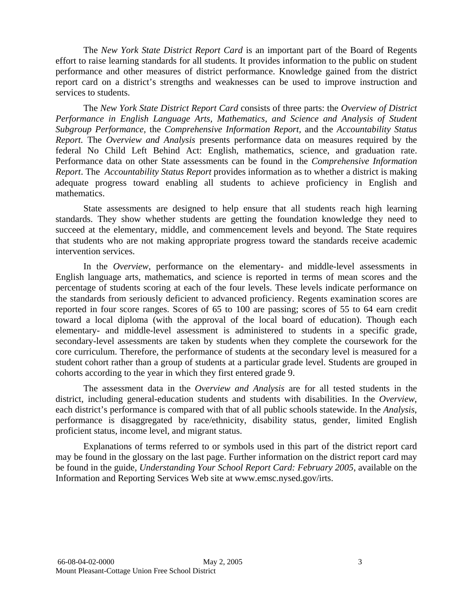The *New York State District Report Card* is an important part of the Board of Regents effort to raise learning standards for all students. It provides information to the public on student performance and other measures of district performance. Knowledge gained from the district report card on a district's strengths and weaknesses can be used to improve instruction and services to students.

The *New York State District Report Card* consists of three parts: the *Overview of District Performance in English Language Arts, Mathematics, and Science and Analysis of Student Subgroup Performance,* the *Comprehensive Information Report,* and the *Accountability Status Report.* The *Overview and Analysis* presents performance data on measures required by the federal No Child Left Behind Act: English, mathematics, science, and graduation rate. Performance data on other State assessments can be found in the *Comprehensive Information Report*. The *Accountability Status Report* provides information as to whether a district is making adequate progress toward enabling all students to achieve proficiency in English and mathematics.

State assessments are designed to help ensure that all students reach high learning standards. They show whether students are getting the foundation knowledge they need to succeed at the elementary, middle, and commencement levels and beyond. The State requires that students who are not making appropriate progress toward the standards receive academic intervention services.

In the *Overview*, performance on the elementary- and middle-level assessments in English language arts, mathematics, and science is reported in terms of mean scores and the percentage of students scoring at each of the four levels. These levels indicate performance on the standards from seriously deficient to advanced proficiency. Regents examination scores are reported in four score ranges. Scores of 65 to 100 are passing; scores of 55 to 64 earn credit toward a local diploma (with the approval of the local board of education). Though each elementary- and middle-level assessment is administered to students in a specific grade, secondary-level assessments are taken by students when they complete the coursework for the core curriculum. Therefore, the performance of students at the secondary level is measured for a student cohort rather than a group of students at a particular grade level. Students are grouped in cohorts according to the year in which they first entered grade 9.

The assessment data in the *Overview and Analysis* are for all tested students in the district, including general-education students and students with disabilities. In the *Overview*, each district's performance is compared with that of all public schools statewide. In the *Analysis*, performance is disaggregated by race/ethnicity, disability status, gender, limited English proficient status, income level, and migrant status.

Explanations of terms referred to or symbols used in this part of the district report card may be found in the glossary on the last page. Further information on the district report card may be found in the guide, *Understanding Your School Report Card: February 2005*, available on the Information and Reporting Services Web site at www.emsc.nysed.gov/irts.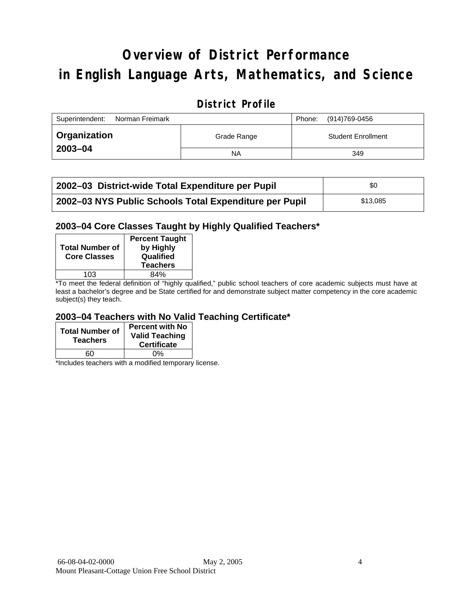# **Overview of District Performance in English Language Arts, Mathematics, and Science**

### **District Profile**

| Superintendent:<br>Norman Freimark |             | Phone: | (914)769-0456             |
|------------------------------------|-------------|--------|---------------------------|
| <b>Organization</b>                | Grade Range |        | <b>Student Enrollment</b> |
| 2003-04                            | NA          |        | 349                       |

| 2002–03 District-wide Total Expenditure per Pupil      | \$0      |  |
|--------------------------------------------------------|----------|--|
| 2002-03 NYS Public Schools Total Expenditure per Pupil | \$13,085 |  |

#### **2003–04 Core Classes Taught by Highly Qualified Teachers\***

| <b>Total Number of</b><br><b>Core Classes</b> | <b>Percent Taught</b><br>by Highly<br>Qualified<br><b>Teachers</b> |
|-----------------------------------------------|--------------------------------------------------------------------|
| 103                                           | ጸ4%                                                                |
| .                                             | $\cdots$<br>.                                                      |

\*To meet the federal definition of "highly qualified," public school teachers of core academic subjects must have at least a bachelor's degree and be State certified for and demonstrate subject matter competency in the core academic subject(s) they teach.

#### **2003–04 Teachers with No Valid Teaching Certificate\***

| <b>Total Number of</b><br><b>Teachers</b> | <b>Percent with No</b><br><b>Valid Teaching</b><br><b>Certificate</b> |
|-------------------------------------------|-----------------------------------------------------------------------|
| 60                                        | ሰ%                                                                    |

\*Includes teachers with a modified temporary license.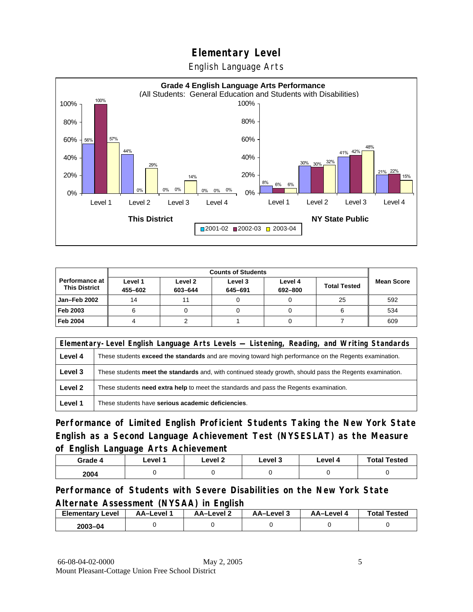English Language Arts



|                                                 | <b>Counts of Students</b> |                    |                    |                    |                     |                   |  |
|-------------------------------------------------|---------------------------|--------------------|--------------------|--------------------|---------------------|-------------------|--|
| <b>Performance at I</b><br><b>This District</b> | Level 1<br>455-602        | Level 2<br>603-644 | Level 3<br>645-691 | Level 4<br>692-800 | <b>Total Tested</b> | <b>Mean Score</b> |  |
| <b>Jan-Feb 2002</b>                             | 14                        |                    |                    |                    | 25                  | 592               |  |
| Feb 2003                                        |                           |                    |                    |                    |                     | 534               |  |
| <b>Feb 2004</b>                                 |                           |                    |                    |                    |                     | 609               |  |

|         | Elementary-Level English Language Arts Levels - Listening, Reading, and Writing Standards                     |  |  |  |  |
|---------|---------------------------------------------------------------------------------------------------------------|--|--|--|--|
| Level 4 | These students <b>exceed the standards</b> and are moving toward high performance on the Regents examination. |  |  |  |  |
| Level 3 | These students meet the standards and, with continued steady growth, should pass the Regents examination.     |  |  |  |  |
| Level 2 | These students <b>need extra help</b> to meet the standards and pass the Regents examination.                 |  |  |  |  |
| Level 1 | These students have serious academic deficiencies.                                                            |  |  |  |  |

**Performance of Limited English Proficient Students Taking the New York State English as a Second Language Achievement Test (NYSESLAT) as the Measure of English Language Arts Achievement**

| Grade 4 | Level 1 | Level <sub>2</sub> | ∟evel 3 | Level 4 | <b>Total Tested</b> |
|---------|---------|--------------------|---------|---------|---------------------|
| 2004    |         |                    |         |         |                     |

**Performance of Students with Severe Disabilities on the New York State Alternate Assessment (NYSAA) in English** 

| Elementarv<br>Level | AA–Level | AA-Level 2 | AA-Level 3 | <b>AA-Level 4</b> | <b>Total Tested</b> |
|---------------------|----------|------------|------------|-------------------|---------------------|
| $2003 - 04$         |          |            |            |                   |                     |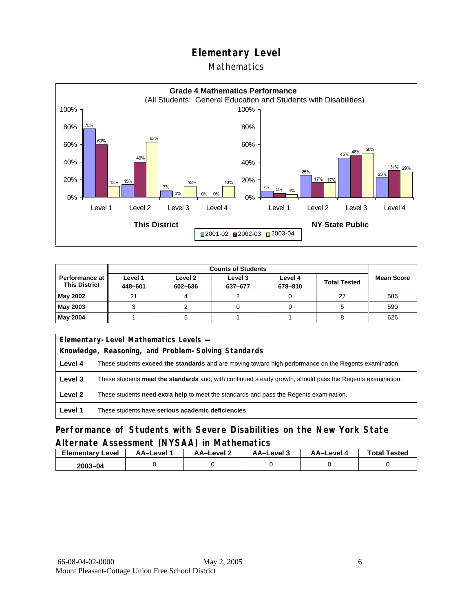#### Mathematics



|                                        | <b>Counts of Students</b> |                    |                    |                    |                     |                   |  |
|----------------------------------------|---------------------------|--------------------|--------------------|--------------------|---------------------|-------------------|--|
| Performance at<br><b>This District</b> | Level 1<br>448-601        | Level 2<br>602-636 | Level 3<br>637-677 | Level 4<br>678-810 | <b>Total Tested</b> | <b>Mean Score</b> |  |
| May 2002                               | 21                        |                    |                    |                    | 27                  | 586               |  |
| May 2003                               |                           |                    |                    |                    |                     | 590               |  |
| May 2004                               |                           |                    |                    |                    |                     | 626               |  |

|         | Elementary-Level Mathematics Levels -                                                                     |  |  |  |  |
|---------|-----------------------------------------------------------------------------------------------------------|--|--|--|--|
|         | Knowledge, Reasoning, and Problem-Solving Standards                                                       |  |  |  |  |
| Level 4 | These students exceed the standards and are moving toward high performance on the Regents examination.    |  |  |  |  |
| Level 3 | These students meet the standards and, with continued steady growth, should pass the Regents examination. |  |  |  |  |
| Level 2 | These students need extra help to meet the standards and pass the Regents examination.                    |  |  |  |  |
| Level 1 | These students have serious academic deficiencies.                                                        |  |  |  |  |

#### **Performance of Students with Severe Disabilities on the New York State Alternate Assessment (NYSAA) in Mathematics**

| <b>Elementary Level</b> | AA-Level | AA-Level 2 | AA-Level 3 | AA-Level 4 | <b>Total Tested</b> |
|-------------------------|----------|------------|------------|------------|---------------------|
| $2003 - 04$             |          |            |            |            |                     |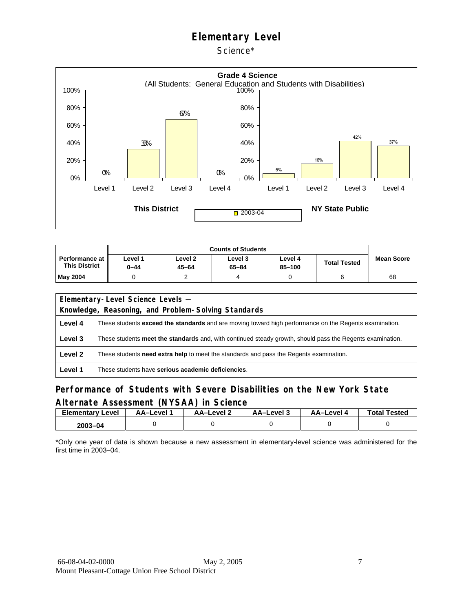Science\*



| <b>Counts of Students</b>                       |                 |                             |                  |                       |                     |                   |
|-------------------------------------------------|-----------------|-----------------------------|------------------|-----------------------|---------------------|-------------------|
| <b>Performance at I</b><br><b>This District</b> | Level 1<br>0-44 | Level <sub>2</sub><br>45-64 | Level 3<br>65-84 | Level 4<br>$85 - 100$ | <b>Total Tested</b> | <b>Mean Score</b> |
| <b>May 2004</b>                                 |                 |                             | 4                |                       |                     | 68                |

| Elementary-Level Science Levels -                   |                                                                                                               |  |  |  |
|-----------------------------------------------------|---------------------------------------------------------------------------------------------------------------|--|--|--|
| Knowledge, Reasoning, and Problem-Solving Standards |                                                                                                               |  |  |  |
| Level 4                                             | These students <b>exceed the standards</b> and are moving toward high performance on the Regents examination. |  |  |  |
| Level 3                                             | These students meet the standards and, with continued steady growth, should pass the Regents examination.     |  |  |  |
| Level 2                                             | These students need extra help to meet the standards and pass the Regents examination.                        |  |  |  |
| Level 1                                             | These students have serious academic deficiencies.                                                            |  |  |  |

#### **Performance of Students with Severe Disabilities on the New York State Alternate Assessment (NYSAA) in Science**

| Elementary<br>Level | AA-Level | AA-Level 2 | AA-Level 3 | AA-Level 4 | <b>Total Tested</b> |
|---------------------|----------|------------|------------|------------|---------------------|
| 2003-04             |          |            |            |            |                     |

\*Only one year of data is shown because a new assessment in elementary-level science was administered for the first time in 2003–04.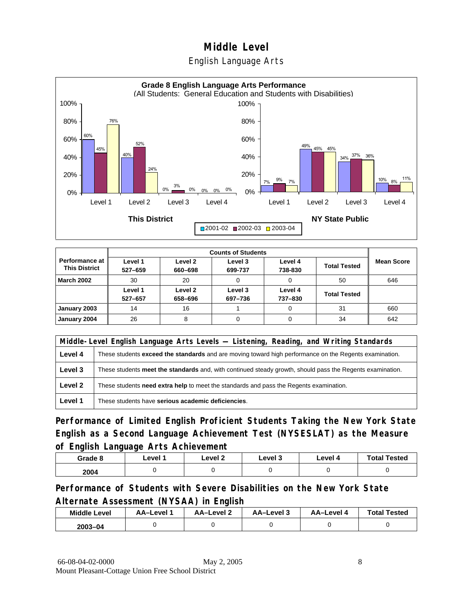#### English Language Arts



|                                               |                    |                    | <b>Counts of Students</b> |                    |                     |                   |
|-----------------------------------------------|--------------------|--------------------|---------------------------|--------------------|---------------------|-------------------|
| <b>Performance at</b><br><b>This District</b> | Level 1<br>527-659 | Level 2<br>660-698 | Level 3<br>699-737        | Level 4<br>738-830 | <b>Total Tested</b> | <b>Mean Score</b> |
| <b>March 2002</b>                             | 30                 | 20                 |                           |                    | 50                  | 646               |
|                                               | Level 1<br>527-657 | Level 2<br>658-696 | Level 3<br>697-736        | Level 4<br>737-830 | <b>Total Tested</b> |                   |
| January 2003                                  | 14                 | 16                 |                           |                    | 31                  | 660               |
| January 2004                                  | 26                 |                    |                           |                    | 34                  | 642               |

|         | Middle-Level English Language Arts Levels — Listening, Reading, and Writing Standards                         |  |  |  |  |
|---------|---------------------------------------------------------------------------------------------------------------|--|--|--|--|
| Level 4 | These students <b>exceed the standards</b> and are moving toward high performance on the Regents examination. |  |  |  |  |
| Level 3 | These students meet the standards and, with continued steady growth, should pass the Regents examination.     |  |  |  |  |
| Level 2 | These students need extra help to meet the standards and pass the Regents examination.                        |  |  |  |  |
| Level 1 | These students have serious academic deficiencies.                                                            |  |  |  |  |

**Performance of Limited English Proficient Students Taking the New York State English as a Second Language Achievement Test (NYSESLAT) as the Measure of English Language Arts Achievement**

| Grade 8 | Level 1 | Level 2 | Level 3 | Level 4 | <b>Total Tested</b> |
|---------|---------|---------|---------|---------|---------------------|
| 2004    |         |         |         |         |                     |

**Performance of Students with Severe Disabilities on the New York State Alternate Assessment (NYSAA) in English** 

| <b>Middle Level</b> | AA-Level | <b>AA-Level 2</b> | AA-Level 3 | AA–Level 4 | <b>Total Tested</b> |
|---------------------|----------|-------------------|------------|------------|---------------------|
| $2003 - 04$         |          |                   |            |            |                     |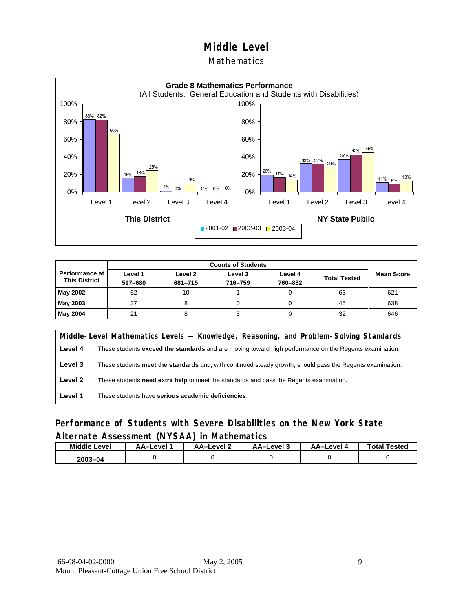#### Mathematics



|                                               |                    | <b>Counts of Students</b> |                    |                    |                     |                   |  |  |
|-----------------------------------------------|--------------------|---------------------------|--------------------|--------------------|---------------------|-------------------|--|--|
| <b>Performance at</b><br><b>This District</b> | Level 1<br>517-680 | Level 2<br>681-715        | Level 3<br>716-759 | Level 4<br>760-882 | <b>Total Tested</b> | <b>Mean Score</b> |  |  |
| May 2002                                      | 52                 | 10                        |                    |                    | 63                  | 621               |  |  |
| May 2003                                      | 37                 |                           |                    |                    | 45                  | 638               |  |  |
| May 2004                                      | 21                 |                           |                    |                    | 32                  | 646               |  |  |

|         | Middle-Level Mathematics Levels — Knowledge, Reasoning, and Problem-Solving Standards                     |  |  |  |  |  |
|---------|-----------------------------------------------------------------------------------------------------------|--|--|--|--|--|
| Level 4 | These students exceed the standards and are moving toward high performance on the Regents examination.    |  |  |  |  |  |
| Level 3 | These students meet the standards and, with continued steady growth, should pass the Regents examination. |  |  |  |  |  |
| Level 2 | These students <b>need extra help</b> to meet the standards and pass the Regents examination.             |  |  |  |  |  |
| Level 1 | These students have serious academic deficiencies.                                                        |  |  |  |  |  |

#### **Performance of Students with Severe Disabilities on the New York State Alternate Assessment (NYSAA) in Mathematics**

| <b>Middle</b><br>Level | AA-Level | AA-Level 2 | AA-Level 3 | AA-Level 4 | <b>Total Tested</b> |
|------------------------|----------|------------|------------|------------|---------------------|
| 2003-04                |          |            |            |            |                     |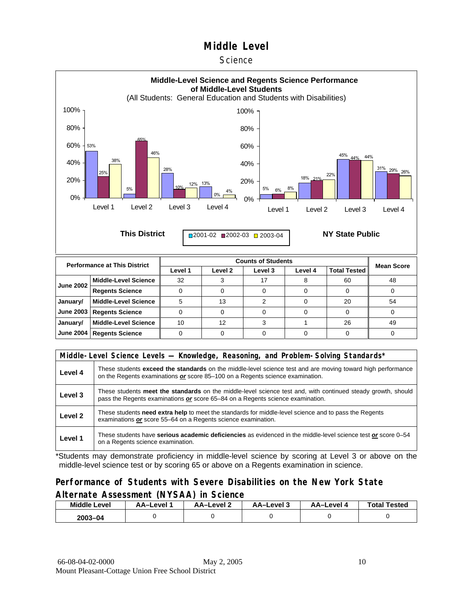#### **Science**



|         | Middle-Level Science Levels — Knowledge, Reasoning, and Problem-Solving Standards*                                                                                                                  |  |  |  |  |  |
|---------|-----------------------------------------------------------------------------------------------------------------------------------------------------------------------------------------------------|--|--|--|--|--|
| Level 4 | These students <b>exceed the standards</b> on the middle-level science test and are moving toward high performance<br>on the Regents examinations or score 85-100 on a Regents science examination. |  |  |  |  |  |
| Level 3 | These students meet the standards on the middle-level science test and, with continued steady growth, should<br>pass the Regents examinations or score 65-84 on a Regents science examination.      |  |  |  |  |  |
| Level 2 | These students need extra help to meet the standards for middle-level science and to pass the Regents<br>examinations or score 55–64 on a Regents science examination.                              |  |  |  |  |  |
| Level 1 | These students have serious academic deficiencies as evidenced in the middle-level science test or score 0–54<br>on a Regents science examination.                                                  |  |  |  |  |  |

\*Students may demonstrate proficiency in middle-level science by scoring at Level 3 or above on the middle-level science test or by scoring 65 or above on a Regents examination in science.

#### **Performance of Students with Severe Disabilities on the New York State Alternate Assessment (NYSAA) in Science**

| <b>Middle Level</b> | AA-Level | AA-Level 2 | AA-Level 3 | <b>AA-Level 4</b> | <b>Total Tested</b> |
|---------------------|----------|------------|------------|-------------------|---------------------|
| $2003 - 04$         |          |            |            |                   |                     |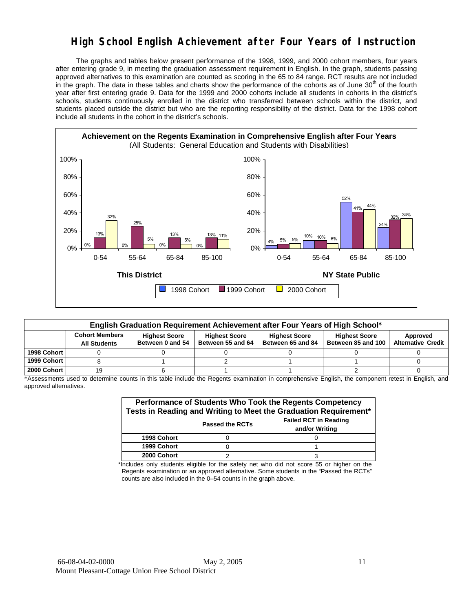## **High School English Achievement after Four Years of Instruction**

 The graphs and tables below present performance of the 1998, 1999, and 2000 cohort members, four years after entering grade 9, in meeting the graduation assessment requirement in English. In the graph, students passing approved alternatives to this examination are counted as scoring in the 65 to 84 range. RCT results are not included in the graph. The data in these tables and charts show the performance of the cohorts as of June 30<sup>th</sup> of the fourth year after first entering grade 9. Data for the 1999 and 2000 cohorts include all students in cohorts in the district's schools, students continuously enrolled in the district who transferred between schools within the district, and students placed outside the district but who are the reporting responsibility of the district. Data for the 1998 cohort include all students in the cohort in the district's schools.



|             | English Graduation Requirement Achievement after Four Years of High School* |                                          |                                           |                                           |                                            |                                       |  |  |  |  |  |
|-------------|-----------------------------------------------------------------------------|------------------------------------------|-------------------------------------------|-------------------------------------------|--------------------------------------------|---------------------------------------|--|--|--|--|--|
|             | <b>Cohort Members</b><br><b>All Students</b>                                | <b>Highest Score</b><br>Between 0 and 54 | <b>Highest Score</b><br>Between 55 and 64 | <b>Highest Score</b><br>Between 65 and 84 | <b>Highest Score</b><br>Between 85 and 100 | Approved<br><b>Alternative Credit</b> |  |  |  |  |  |
| 1998 Cohort |                                                                             |                                          |                                           |                                           |                                            |                                       |  |  |  |  |  |
| 1999 Cohort |                                                                             |                                          |                                           |                                           |                                            |                                       |  |  |  |  |  |
| 2000 Cohort | 19                                                                          |                                          |                                           |                                           |                                            |                                       |  |  |  |  |  |

\*Assessments used to determine counts in this table include the Regents examination in comprehensive English, the component retest in English, and approved alternatives.

| Performance of Students Who Took the Regents Competency<br>Tests in Reading and Writing to Meet the Graduation Requirement* |                        |                                                |  |  |  |  |  |  |
|-----------------------------------------------------------------------------------------------------------------------------|------------------------|------------------------------------------------|--|--|--|--|--|--|
|                                                                                                                             | <b>Passed the RCTs</b> | <b>Failed RCT in Reading</b><br>and/or Writing |  |  |  |  |  |  |
| 1998 Cohort                                                                                                                 |                        |                                                |  |  |  |  |  |  |
| 1999 Cohort                                                                                                                 |                        |                                                |  |  |  |  |  |  |
| 2000 Cohort                                                                                                                 |                        |                                                |  |  |  |  |  |  |

\*Includes only students eligible for the safety net who did not score 55 or higher on the Regents examination or an approved alternative. Some students in the "Passed the RCTs" counts are also included in the 0–54 counts in the graph above.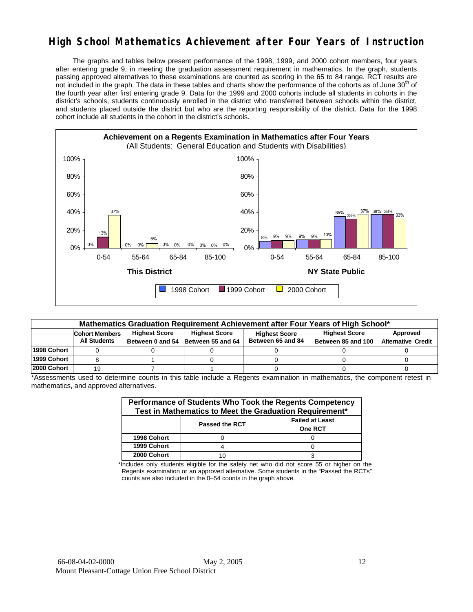## **High School Mathematics Achievement after Four Years of Instruction**

 The graphs and tables below present performance of the 1998, 1999, and 2000 cohort members, four years after entering grade 9, in meeting the graduation assessment requirement in mathematics. In the graph, students passing approved alternatives to these examinations are counted as scoring in the 65 to 84 range. RCT results are not included in the graph. The data in these tables and charts show the performance of the cohorts as of June 30<sup>th</sup> of the fourth year after first entering grade 9. Data for the 1999 and 2000 cohorts include all students in cohorts in the district's schools, students continuously enrolled in the district who transferred between schools within the district, and students placed outside the district but who are the reporting responsibility of the district. Data for the 1998 cohort include all students in the cohort in the district's schools.



|              | Mathematics Graduation Requirement Achievement after Four Years of High School* |                      |                                                            |                                           |                                            |                                       |  |  |  |  |  |
|--------------|---------------------------------------------------------------------------------|----------------------|------------------------------------------------------------|-------------------------------------------|--------------------------------------------|---------------------------------------|--|--|--|--|--|
|              | <b>Cohort Members</b><br><b>All Students</b>                                    | <b>Highest Score</b> | <b>Highest Score</b><br>Between 0 and 54 Between 55 and 64 | <b>Highest Score</b><br>Between 65 and 84 | <b>Highest Score</b><br>Between 85 and 100 | Approved<br><b>Alternative Credit</b> |  |  |  |  |  |
| l1998 Cohort |                                                                                 |                      |                                                            |                                           |                                            |                                       |  |  |  |  |  |
| 1999 Cohort  |                                                                                 |                      |                                                            |                                           |                                            |                                       |  |  |  |  |  |
| 2000 Cohort  | 19                                                                              |                      |                                                            |                                           |                                            |                                       |  |  |  |  |  |

\*Assessments used to determine counts in this table include a Regents examination in mathematics, the component retest in mathematics, and approved alternatives.

| Performance of Students Who Took the Regents Competency<br>Test in Mathematics to Meet the Graduation Requirement* |                       |                                   |  |  |  |  |  |  |  |
|--------------------------------------------------------------------------------------------------------------------|-----------------------|-----------------------------------|--|--|--|--|--|--|--|
|                                                                                                                    | <b>Passed the RCT</b> | <b>Failed at Least</b><br>One RCT |  |  |  |  |  |  |  |
| 1998 Cohort                                                                                                        |                       |                                   |  |  |  |  |  |  |  |
| 1999 Cohort                                                                                                        |                       |                                   |  |  |  |  |  |  |  |
| 2000 Cohort                                                                                                        |                       |                                   |  |  |  |  |  |  |  |

\*Includes only students eligible for the safety net who did not score 55 or higher on the Regents examination or an approved alternative. Some students in the "Passed the RCTs" counts are also included in the 0–54 counts in the graph above.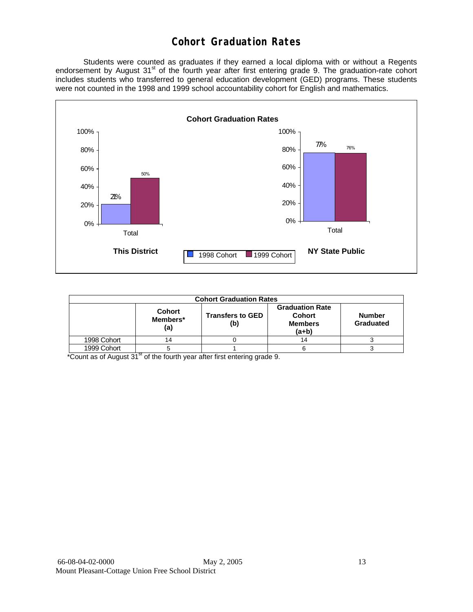## **Cohort Graduation Rates**

 Students were counted as graduates if they earned a local diploma with or without a Regents endorsement by August 31<sup>st</sup> of the fourth year after first entering grade 9. The graduation-rate cohort includes students who transferred to general education development (GED) programs. These students were not counted in the 1998 and 1999 school accountability cohort for English and mathematics.



|             | <b>Cohort Graduation Rates</b>   |                                |                                                                      |                            |  |  |  |  |  |  |  |
|-------------|----------------------------------|--------------------------------|----------------------------------------------------------------------|----------------------------|--|--|--|--|--|--|--|
|             | <b>Cohort</b><br>Members*<br>(a) | <b>Transfers to GED</b><br>(b) | <b>Graduation Rate</b><br><b>Cohort</b><br><b>Members</b><br>$(a+b)$ | <b>Number</b><br>Graduated |  |  |  |  |  |  |  |
| 1998 Cohort | 14                               |                                | 14                                                                   |                            |  |  |  |  |  |  |  |
| 1999 Cohort |                                  |                                |                                                                      |                            |  |  |  |  |  |  |  |

\*Count as of August 31<sup>st</sup> of the fourth year after first entering grade 9.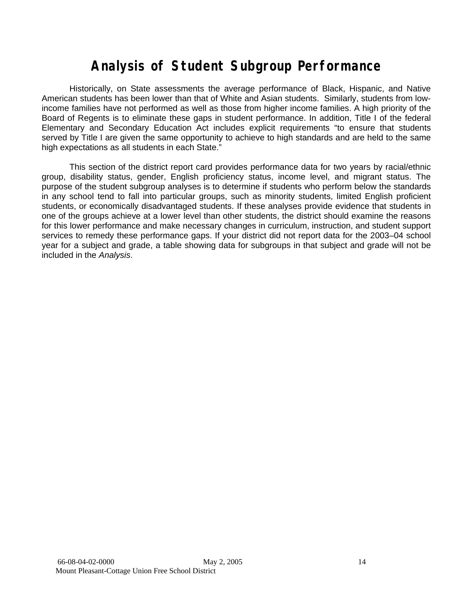# **Analysis of Student Subgroup Performance**

Historically, on State assessments the average performance of Black, Hispanic, and Native American students has been lower than that of White and Asian students. Similarly, students from lowincome families have not performed as well as those from higher income families. A high priority of the Board of Regents is to eliminate these gaps in student performance. In addition, Title I of the federal Elementary and Secondary Education Act includes explicit requirements "to ensure that students served by Title I are given the same opportunity to achieve to high standards and are held to the same high expectations as all students in each State."

This section of the district report card provides performance data for two years by racial/ethnic group, disability status, gender, English proficiency status, income level, and migrant status. The purpose of the student subgroup analyses is to determine if students who perform below the standards in any school tend to fall into particular groups, such as minority students, limited English proficient students, or economically disadvantaged students. If these analyses provide evidence that students in one of the groups achieve at a lower level than other students, the district should examine the reasons for this lower performance and make necessary changes in curriculum, instruction, and student support services to remedy these performance gaps. If your district did not report data for the 2003–04 school year for a subject and grade, a table showing data for subgroups in that subject and grade will not be included in the *Analysis*.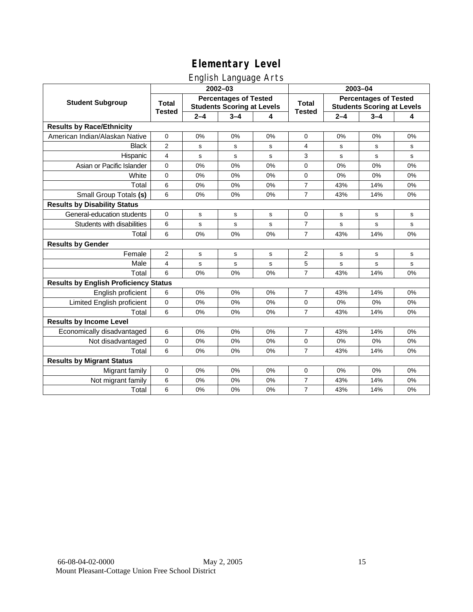## English Language Arts

|                                              |                               |         | ັ<br>2002-03                                                      |    | 2003-04        |                                                                   |         |           |  |
|----------------------------------------------|-------------------------------|---------|-------------------------------------------------------------------|----|----------------|-------------------------------------------------------------------|---------|-----------|--|
| <b>Student Subgroup</b>                      | <b>Total</b><br><b>Tested</b> |         | <b>Percentages of Tested</b><br><b>Students Scoring at Levels</b> |    | <b>Total</b>   | <b>Percentages of Tested</b><br><b>Students Scoring at Levels</b> |         |           |  |
|                                              |                               | $2 - 4$ | $3 - 4$                                                           | 4  | <b>Tested</b>  | $2 - 4$                                                           | $3 - 4$ | 4         |  |
| <b>Results by Race/Ethnicity</b>             |                               |         |                                                                   |    |                |                                                                   |         |           |  |
| American Indian/Alaskan Native               | $\pmb{0}$                     | 0%      | 0%                                                                | 0% | $\mathbf 0$    | 0%                                                                | 0%      | 0%        |  |
| <b>Black</b>                                 | $\overline{2}$                | s       | s                                                                 | s  | 4              | s                                                                 | s       | s         |  |
| Hispanic                                     | $\overline{4}$                | s       | $\mathbf s$                                                       | s  | 3              | s                                                                 | s       | s         |  |
| Asian or Pacific Islander                    | $\mathbf 0$                   | 0%      | 0%                                                                | 0% | 0              | 0%                                                                | 0%      | 0%        |  |
| White                                        | $\mathbf 0$                   | 0%      | 0%                                                                | 0% | 0              | 0%                                                                | 0%      | 0%        |  |
| Total                                        | 6                             | 0%      | 0%                                                                | 0% | $\overline{7}$ | 43%                                                               | 14%     | 0%        |  |
| Small Group Totals (s)                       | 6                             | 0%      | 0%                                                                | 0% | $\overline{7}$ | 43%                                                               | 14%     | 0%        |  |
| <b>Results by Disability Status</b>          |                               |         |                                                                   |    |                |                                                                   |         |           |  |
| General-education students                   | $\Omega$                      | s       | s                                                                 | s  | 0              | s                                                                 | s       | s         |  |
| Students with disabilities                   | 6                             | s       | s                                                                 | s  | $\overline{7}$ | s                                                                 | s       | ${\tt s}$ |  |
| Total                                        | 6                             | 0%      | 0%                                                                | 0% | $\overline{7}$ | 43%                                                               | 14%     | 0%        |  |
| <b>Results by Gender</b>                     |                               |         |                                                                   |    |                |                                                                   |         |           |  |
| Female                                       | 2                             | s       | s                                                                 | s  | 2              | s                                                                 | s       | s         |  |
| Male                                         | 4                             | s       | $\mathbf s$                                                       | s  | 5              | s                                                                 | s       | ${\tt s}$ |  |
| Total                                        | 6                             | 0%      | 0%                                                                | 0% | $\overline{7}$ | 43%                                                               | 14%     | 0%        |  |
| <b>Results by English Proficiency Status</b> |                               |         |                                                                   |    |                |                                                                   |         |           |  |
| English proficient                           | 6                             | 0%      | 0%                                                                | 0% | $\overline{7}$ | 43%                                                               | 14%     | 0%        |  |
| Limited English proficient                   | $\pmb{0}$                     | 0%      | 0%                                                                | 0% | 0              | 0%                                                                | 0%      | 0%        |  |
| Total                                        | 6                             | 0%      | 0%                                                                | 0% | $\overline{7}$ | 43%                                                               | 14%     | 0%        |  |
| <b>Results by Income Level</b>               |                               |         |                                                                   |    |                |                                                                   |         |           |  |
| Economically disadvantaged                   | 6                             | 0%      | 0%                                                                | 0% | $\overline{7}$ | 43%                                                               | 14%     | 0%        |  |
| Not disadvantaged                            | $\mathbf 0$                   | 0%      | 0%                                                                | 0% | 0              | 0%                                                                | 0%      | 0%        |  |
| Total                                        | 6                             | 0%      | 0%                                                                | 0% | $\overline{7}$ | 43%                                                               | 14%     | 0%        |  |
| <b>Results by Migrant Status</b>             |                               |         |                                                                   |    |                |                                                                   |         |           |  |
| Migrant family                               | $\mathbf 0$                   | 0%      | 0%                                                                | 0% | 0              | 0%                                                                | 0%      | 0%        |  |
| Not migrant family                           | 6                             | 0%      | 0%                                                                | 0% | 7              | 43%                                                               | 14%     | 0%        |  |
| Total                                        | 6                             | 0%      | 0%                                                                | 0% | $\overline{7}$ | 43%                                                               | 14%     | 0%        |  |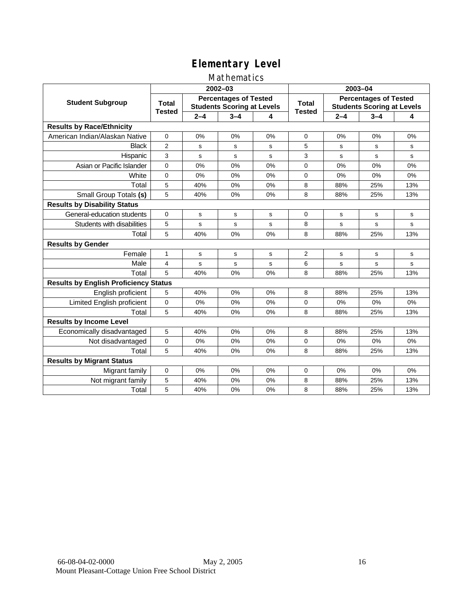#### Mathematics

|                                              |                |         | 2002-03                                                           |    | 2003-04                |                                                                   |         |     |  |
|----------------------------------------------|----------------|---------|-------------------------------------------------------------------|----|------------------------|-------------------------------------------------------------------|---------|-----|--|
| <b>Student Subgroup</b>                      | <b>Total</b>   |         | <b>Percentages of Tested</b><br><b>Students Scoring at Levels</b> |    | Total<br><b>Tested</b> | <b>Percentages of Tested</b><br><b>Students Scoring at Levels</b> |         |     |  |
|                                              | <b>Tested</b>  | $2 - 4$ | $3 - 4$                                                           | 4  |                        | $2 - 4$                                                           | $3 - 4$ | 4   |  |
| <b>Results by Race/Ethnicity</b>             |                |         |                                                                   |    |                        |                                                                   |         |     |  |
| American Indian/Alaskan Native               | $\mathbf 0$    | 0%      | 0%                                                                | 0% | $\mathbf 0$            | 0%                                                                | 0%      | 0%  |  |
| <b>Black</b>                                 | 2              | s       | s                                                                 | s  | 5                      | s                                                                 | s       | s   |  |
| Hispanic                                     | 3              | s       | s                                                                 | s  | 3                      | s                                                                 | s       | s   |  |
| Asian or Pacific Islander                    | 0              | 0%      | 0%                                                                | 0% | $\Omega$               | 0%                                                                | 0%      | 0%  |  |
| White                                        | $\mathbf 0$    | 0%      | 0%                                                                | 0% | $\Omega$               | 0%                                                                | 0%      | 0%  |  |
| Total                                        | 5              | 40%     | 0%                                                                | 0% | 8                      | 88%                                                               | 25%     | 13% |  |
| Small Group Totals (s)                       | 5              | 40%     | 0%                                                                | 0% | 8                      | 88%                                                               | 25%     | 13% |  |
| <b>Results by Disability Status</b>          |                |         |                                                                   |    |                        |                                                                   |         |     |  |
| General-education students                   | $\Omega$       | s       | s                                                                 | s  | 0                      | s                                                                 | s       | s   |  |
| Students with disabilities                   | 5              | s       | s                                                                 | s  | 8                      | s                                                                 | s       | s   |  |
| Total                                        | 5              | 40%     | 0%                                                                | 0% | 8                      | 88%                                                               | 25%     | 13% |  |
| <b>Results by Gender</b>                     |                |         |                                                                   |    |                        |                                                                   |         |     |  |
| Female                                       | 1              | s       | s                                                                 | s  | $\overline{2}$         | s                                                                 | s       | s   |  |
| Male                                         | $\overline{4}$ | s       | s                                                                 | s  | 6                      | s                                                                 | s       | s   |  |
| Total                                        | 5              | 40%     | 0%                                                                | 0% | 8                      | 88%                                                               | 25%     | 13% |  |
| <b>Results by English Proficiency Status</b> |                |         |                                                                   |    |                        |                                                                   |         |     |  |
| English proficient                           | 5              | 40%     | 0%                                                                | 0% | 8                      | 88%                                                               | 25%     | 13% |  |
| Limited English proficient                   | $\mathbf 0$    | 0%      | 0%                                                                | 0% | 0                      | 0%                                                                | 0%      | 0%  |  |
| Total                                        | 5              | 40%     | 0%                                                                | 0% | 8                      | 88%                                                               | 25%     | 13% |  |
| <b>Results by Income Level</b>               |                |         |                                                                   |    |                        |                                                                   |         |     |  |
| Economically disadvantaged                   | 5              | 40%     | 0%                                                                | 0% | 8                      | 88%                                                               | 25%     | 13% |  |
| Not disadvantaged                            | $\mathbf 0$    | 0%      | 0%                                                                | 0% | 0                      | 0%                                                                | 0%      | 0%  |  |
| Total                                        | 5              | 40%     | 0%                                                                | 0% | 8                      | 88%                                                               | 25%     | 13% |  |
| <b>Results by Migrant Status</b>             |                |         |                                                                   |    |                        |                                                                   |         |     |  |
| Migrant family                               | 0              | 0%      | 0%                                                                | 0% | 0                      | 0%                                                                | 0%      | 0%  |  |
| Not migrant family                           | 5              | 40%     | 0%                                                                | 0% | 8                      | 88%                                                               | 25%     | 13% |  |
| Total                                        | 5              | 40%     | 0%                                                                | 0% | 8                      | 88%                                                               | 25%     | 13% |  |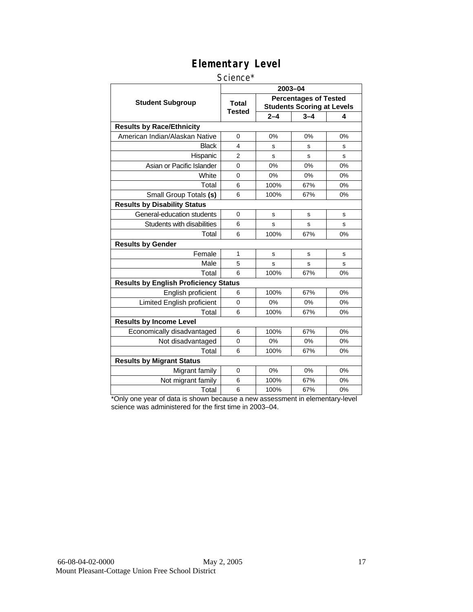#### Science\*

|                                              |                        | 2003-04 |                                                                   |    |
|----------------------------------------------|------------------------|---------|-------------------------------------------------------------------|----|
| <b>Student Subgroup</b>                      | <b>Total</b><br>Tested |         | <b>Percentages of Tested</b><br><b>Students Scoring at Levels</b> |    |
|                                              |                        | $2 - 4$ | $3 - 4$                                                           | 4  |
| <b>Results by Race/Ethnicity</b>             |                        |         |                                                                   |    |
| American Indian/Alaskan Native               | $\Omega$               | 0%      | 0%                                                                | 0% |
| Black                                        | 4                      | s       | s                                                                 | s  |
| Hispanic                                     | $\overline{2}$         | s       | s                                                                 | S  |
| Asian or Pacific Islander                    | $\Omega$               | 0%      | 0%                                                                | 0% |
| White                                        | 0                      | 0%      | 0%                                                                | 0% |
| Total                                        | 6                      | 100%    | 67%                                                               | 0% |
| Small Group Totals (s)                       | 6                      | 100%    | 67%                                                               | 0% |
| <b>Results by Disability Status</b>          |                        |         |                                                                   |    |
| General-education students                   | $\overline{0}$         | s       | s                                                                 | s  |
| Students with disabilities                   | 6                      | s       | s                                                                 | s  |
| Total                                        | 6                      | 100%    | 67%                                                               | 0% |
| <b>Results by Gender</b>                     |                        |         |                                                                   |    |
| Female                                       | 1                      | s       | s                                                                 | s  |
| Male                                         | 5                      | S       | s                                                                 | S  |
| Total                                        | 6                      | 100%    | 67%                                                               | 0% |
| <b>Results by English Proficiency Status</b> |                        |         |                                                                   |    |
| English proficient                           | 6                      | 100%    | 67%                                                               | 0% |
| Limited English proficient                   | $\Omega$               | 0%      | 0%                                                                | 0% |
| Total                                        | 6                      | 100%    | 67%                                                               | 0% |
| <b>Results by Income Level</b>               |                        |         |                                                                   |    |
| Economically disadvantaged                   | 6                      | 100%    | 67%                                                               | 0% |
| Not disadvantaged                            | $\Omega$               | 0%      | 0%                                                                | 0% |
| Total                                        | 6                      | 100%    | 67%                                                               | 0% |
| <b>Results by Migrant Status</b>             |                        |         |                                                                   |    |
| Migrant family                               | 0                      | 0%      | 0%                                                                | 0% |
| Not migrant family                           | 6                      | 100%    | 67%                                                               | 0% |
| Total                                        | 6                      | 100%    | 67%                                                               | 0% |

\*Only one year of data is shown because a new assessment in elementary-level science was administered for the first time in 2003–04.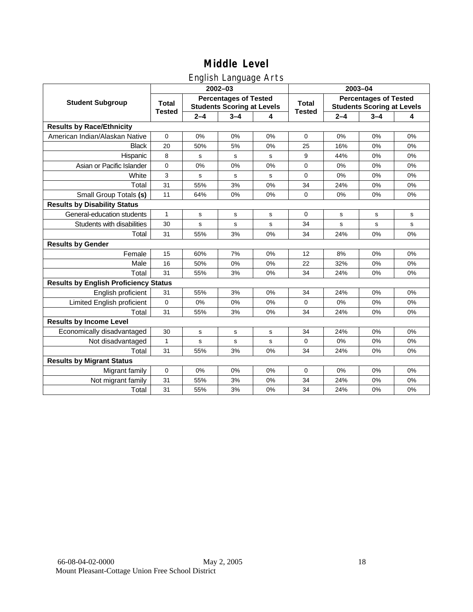### English Language Arts

|                                              |               |         | ັ<br>$2002 - 03$                                                  |       | 2003-04       |                                                                   |         |    |  |
|----------------------------------------------|---------------|---------|-------------------------------------------------------------------|-------|---------------|-------------------------------------------------------------------|---------|----|--|
| <b>Student Subgroup</b>                      | <b>Total</b>  |         | <b>Percentages of Tested</b><br><b>Students Scoring at Levels</b> |       | <b>Total</b>  | <b>Percentages of Tested</b><br><b>Students Scoring at Levels</b> |         |    |  |
|                                              | <b>Tested</b> | $2 - 4$ | $3 - 4$                                                           | 4     | <b>Tested</b> | $2 - 4$                                                           | $3 - 4$ | 4  |  |
| <b>Results by Race/Ethnicity</b>             |               |         |                                                                   |       |               |                                                                   |         |    |  |
| American Indian/Alaskan Native               | $\mathbf 0$   | 0%      | 0%                                                                | 0%    | $\mathbf 0$   | 0%                                                                | 0%      | 0% |  |
| <b>Black</b>                                 | 20            | 50%     | 5%                                                                | 0%    | 25            | 16%                                                               | 0%      | 0% |  |
| Hispanic                                     | 8             | s       | s                                                                 | s     | 9             | 44%                                                               | 0%      | 0% |  |
| Asian or Pacific Islander                    | $\mathbf 0$   | 0%      | 0%                                                                | 0%    | $\mathbf 0$   | 0%                                                                | 0%      | 0% |  |
| White                                        | 3             | s       | $\mathbf s$                                                       | s     | 0             | 0%                                                                | 0%      | 0% |  |
| Total                                        | 31            | 55%     | 3%                                                                | 0%    | 34            | 24%                                                               | 0%      | 0% |  |
| Small Group Totals (s)                       | 11            | 64%     | 0%                                                                | 0%    | $\Omega$      | 0%                                                                | 0%      | 0% |  |
| <b>Results by Disability Status</b>          |               |         |                                                                   |       |               |                                                                   |         |    |  |
| General-education students                   | $\mathbf{1}$  | s       | s                                                                 | s     | 0             | s                                                                 | s       | s  |  |
| Students with disabilities                   | 30            | s       | s                                                                 | s     | 34            | s                                                                 | s       | s  |  |
| Total                                        | 31            | 55%     | 3%                                                                | 0%    | 34            | 24%                                                               | 0%      | 0% |  |
| <b>Results by Gender</b>                     |               |         |                                                                   |       |               |                                                                   |         |    |  |
| Female                                       | 15            | 60%     | 7%                                                                | $0\%$ | 12            | 8%                                                                | 0%      | 0% |  |
| Male                                         | 16            | 50%     | 0%                                                                | 0%    | 22            | 32%                                                               | 0%      | 0% |  |
| Total                                        | 31            | 55%     | 3%                                                                | 0%    | 34            | 24%                                                               | 0%      | 0% |  |
| <b>Results by English Proficiency Status</b> |               |         |                                                                   |       |               |                                                                   |         |    |  |
| English proficient                           | 31            | 55%     | 3%                                                                | 0%    | 34            | 24%                                                               | 0%      | 0% |  |
| Limited English proficient                   | $\mathbf 0$   | 0%      | 0%                                                                | 0%    | $\Omega$      | 0%                                                                | 0%      | 0% |  |
| Total                                        | 31            | 55%     | 3%                                                                | 0%    | 34            | 24%                                                               | 0%      | 0% |  |
| <b>Results by Income Level</b>               |               |         |                                                                   |       |               |                                                                   |         |    |  |
| Economically disadvantaged                   | 30            | s       | $\mathsf{s}$                                                      | s     | 34            | 24%                                                               | 0%      | 0% |  |
| Not disadvantaged                            | $\mathbf{1}$  | s       | s                                                                 | s     | $\mathbf 0$   | 0%                                                                | 0%      | 0% |  |
| Total                                        | 31            | 55%     | 3%                                                                | 0%    | 34            | 24%                                                               | 0%      | 0% |  |
| <b>Results by Migrant Status</b>             |               |         |                                                                   |       |               |                                                                   |         |    |  |
| Migrant family                               | $\mathbf 0$   | 0%      | 0%                                                                | 0%    | 0             | 0%                                                                | 0%      | 0% |  |
| Not migrant family                           | 31            | 55%     | 3%                                                                | 0%    | 34            | 24%                                                               | 0%      | 0% |  |
| Total                                        | 31            | 55%     | 3%                                                                | 0%    | 34            | 24%                                                               | 0%      | 0% |  |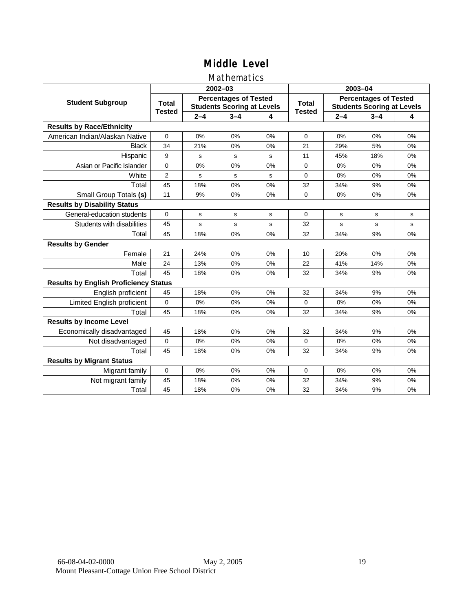#### Mathematics

|                                              |               |         | $2002 - 03$                                                       |    | 2003-04                |                                                                   |         |             |  |
|----------------------------------------------|---------------|---------|-------------------------------------------------------------------|----|------------------------|-------------------------------------------------------------------|---------|-------------|--|
| <b>Student Subgroup</b>                      | <b>Total</b>  |         | <b>Percentages of Tested</b><br><b>Students Scoring at Levels</b> |    | Total<br><b>Tested</b> | <b>Percentages of Tested</b><br><b>Students Scoring at Levels</b> |         |             |  |
|                                              | <b>Tested</b> | $2 - 4$ | $3 - 4$                                                           | 4  |                        | $2 - 4$                                                           | $3 - 4$ | 4           |  |
| <b>Results by Race/Ethnicity</b>             |               |         |                                                                   |    |                        |                                                                   |         |             |  |
| American Indian/Alaskan Native               | $\Omega$      | 0%      | 0%                                                                | 0% | $\Omega$               | 0%                                                                | 0%      | 0%          |  |
| <b>Black</b>                                 | 34            | 21%     | 0%                                                                | 0% | 21                     | 29%                                                               | 5%      | 0%          |  |
| Hispanic                                     | 9             | s       | s                                                                 | s  | 11                     | 45%                                                               | 18%     | 0%          |  |
| Asian or Pacific Islander                    | $\mathbf 0$   | 0%      | 0%                                                                | 0% | 0                      | 0%                                                                | 0%      | 0%          |  |
| White                                        | 2             | s       | $\mathbf s$                                                       | s  | 0                      | 0%                                                                | 0%      | 0%          |  |
| Total                                        | 45            | 18%     | 0%                                                                | 0% | 32                     | 34%                                                               | 9%      | 0%          |  |
| Small Group Totals (s)                       | 11            | 9%      | 0%                                                                | 0% | $\Omega$               | 0%                                                                | 0%      | 0%          |  |
| <b>Results by Disability Status</b>          |               |         |                                                                   |    |                        |                                                                   |         |             |  |
| General-education students                   | $\Omega$      | s       | s                                                                 | s  | $\Omega$               | s                                                                 | s       | s           |  |
| Students with disabilities                   | 45            | s       | $\mathbf s$                                                       | s  | 32                     | s                                                                 | s       | $\mathbf s$ |  |
| Total                                        | 45            | 18%     | 0%                                                                | 0% | 32                     | 34%                                                               | 9%      | 0%          |  |
| <b>Results by Gender</b>                     |               |         |                                                                   |    |                        |                                                                   |         |             |  |
| Female                                       | 21            | 24%     | 0%                                                                | 0% | 10                     | 20%                                                               | 0%      | 0%          |  |
| Male                                         | 24            | 13%     | 0%                                                                | 0% | 22                     | 41%                                                               | 14%     | 0%          |  |
| Total                                        | 45            | 18%     | 0%                                                                | 0% | 32                     | 34%                                                               | 9%      | 0%          |  |
| <b>Results by English Proficiency Status</b> |               |         |                                                                   |    |                        |                                                                   |         |             |  |
| English proficient                           | 45            | 18%     | 0%                                                                | 0% | 32                     | 34%                                                               | 9%      | 0%          |  |
| Limited English proficient                   | $\Omega$      | 0%      | 0%                                                                | 0% | $\overline{0}$         | 0%                                                                | 0%      | 0%          |  |
| Total                                        | 45            | 18%     | 0%                                                                | 0% | 32                     | 34%                                                               | 9%      | 0%          |  |
| <b>Results by Income Level</b>               |               |         |                                                                   |    |                        |                                                                   |         |             |  |
| Economically disadvantaged                   | 45            | 18%     | 0%                                                                | 0% | 32                     | 34%                                                               | 9%      | 0%          |  |
| Not disadvantaged                            | $\mathbf 0$   | 0%      | 0%                                                                | 0% | $\Omega$               | 0%                                                                | 0%      | 0%          |  |
| Total                                        | 45            | 18%     | 0%                                                                | 0% | 32                     | 34%                                                               | 9%      | 0%          |  |
| <b>Results by Migrant Status</b>             |               |         |                                                                   |    |                        |                                                                   |         |             |  |
| Migrant family                               | $\mathbf 0$   | 0%      | 0%                                                                | 0% | $\Omega$               | 0%                                                                | 0%      | 0%          |  |
| Not migrant family                           | 45            | 18%     | 0%                                                                | 0% | 32                     | 34%                                                               | 9%      | 0%          |  |
| Total                                        | 45            | 18%     | 0%                                                                | 0% | 32                     | 34%                                                               | 9%      | 0%          |  |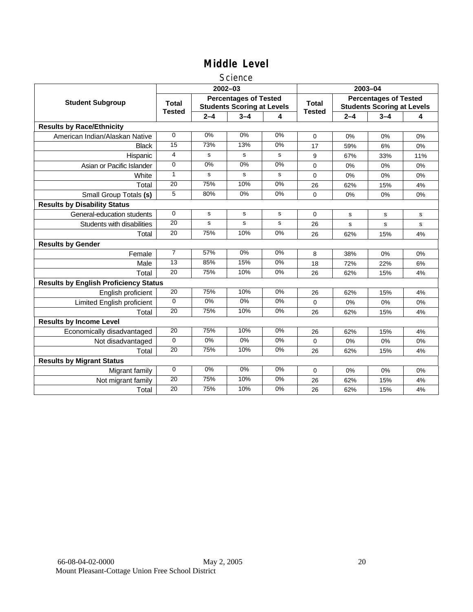#### **Science**

|                                              |                               |         | $2002 - 03$                                                       |       | 2003-04                       |                                                                   |         |       |
|----------------------------------------------|-------------------------------|---------|-------------------------------------------------------------------|-------|-------------------------------|-------------------------------------------------------------------|---------|-------|
| <b>Student Subgroup</b>                      | <b>Total</b><br><b>Tested</b> |         | <b>Percentages of Tested</b><br><b>Students Scoring at Levels</b> |       | <b>Total</b><br><b>Tested</b> | <b>Percentages of Tested</b><br><b>Students Scoring at Levels</b> |         |       |
|                                              |                               | $2 - 4$ | $3 - 4$                                                           | 4     |                               | $2 - 4$                                                           | $3 - 4$ | 4     |
| <b>Results by Race/Ethnicity</b>             |                               |         |                                                                   |       |                               |                                                                   |         |       |
| American Indian/Alaskan Native               | $\mathbf 0$                   | 0%      | 0%                                                                | 0%    | $\Omega$                      | 0%                                                                | 0%      | 0%    |
| <b>Black</b>                                 | 15                            | 73%     | 13%                                                               | 0%    | 17                            | 59%                                                               | 6%      | 0%    |
| Hispanic                                     | 4                             | s       | s                                                                 | s     | 9                             | 67%                                                               | 33%     | 11%   |
| Asian or Pacific Islander                    | $\Omega$                      | 0%      | 0%                                                                | 0%    | 0                             | 0%                                                                | 0%      | $0\%$ |
| White                                        | 1                             | s       | s                                                                 | s     | 0                             | 0%                                                                | 0%      | 0%    |
| Total                                        | 20                            | 75%     | 10%                                                               | 0%    | 26                            | 62%                                                               | 15%     | 4%    |
| Small Group Totals (s)                       | 5                             | 80%     | 0%                                                                | 0%    | 0                             | 0%                                                                | 0%      | 0%    |
| <b>Results by Disability Status</b>          |                               |         |                                                                   |       |                               |                                                                   |         |       |
| General-education students                   | $\Omega$                      | s       | s                                                                 | s     | $\Omega$                      | s                                                                 | s       | s     |
| Students with disabilities                   | $\overline{20}$               | s       | s                                                                 | s     | 26                            | s                                                                 | s       | s     |
| Total                                        | 20                            | 75%     | 10%                                                               | 0%    | 26                            | 62%                                                               | 15%     | 4%    |
| <b>Results by Gender</b>                     |                               |         |                                                                   |       |                               |                                                                   |         |       |
| Female                                       | $\overline{7}$                | 57%     | 0%                                                                | 0%    | 8                             | 38%                                                               | 0%      | 0%    |
| Male                                         | 13                            | 85%     | 15%                                                               | 0%    | 18                            | 72%                                                               | 22%     | 6%    |
| Total                                        | 20                            | 75%     | 10%                                                               | 0%    | 26                            | 62%                                                               | 15%     | 4%    |
| <b>Results by English Proficiency Status</b> |                               |         |                                                                   |       |                               |                                                                   |         |       |
| English proficient                           | $\overline{20}$               | 75%     | 10%                                                               | 0%    | 26                            | 62%                                                               | 15%     | 4%    |
| Limited English proficient                   | $\Omega$                      | $0\%$   | 0%                                                                | $0\%$ | 0                             | 0%                                                                | 0%      | 0%    |
| Total                                        | 20                            | 75%     | 10%                                                               | 0%    | 26                            | 62%                                                               | 15%     | 4%    |
| <b>Results by Income Level</b>               |                               |         |                                                                   |       |                               |                                                                   |         |       |
| Economically disadvantaged                   | 20                            | 75%     | 10%                                                               | 0%    | 26                            | 62%                                                               | 15%     | 4%    |
| Not disadvantaged                            | 0                             | 0%      | 0%                                                                | 0%    | 0                             | 0%                                                                | 0%      | 0%    |
| Total                                        | 20                            | 75%     | 10%                                                               | 0%    | 26                            | 62%                                                               | 15%     | 4%    |
| <b>Results by Migrant Status</b>             |                               |         |                                                                   |       |                               |                                                                   |         |       |
| Migrant family                               | $\mathbf 0$                   | 0%      | 0%                                                                | 0%    | 0                             | 0%                                                                | 0%      | 0%    |
| Not migrant family                           | 20                            | 75%     | 10%                                                               | $0\%$ | 26                            | 62%                                                               | 15%     | 4%    |
| Total                                        | 20                            | 75%     | 10%                                                               | 0%    | 26                            | 62%                                                               | 15%     | 4%    |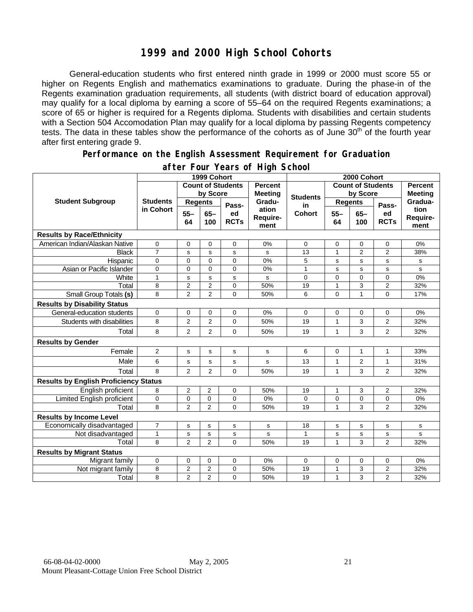### **1999 and 2000 High School Cohorts**

General-education students who first entered ninth grade in 1999 or 2000 must score 55 or higher on Regents English and mathematics examinations to graduate. During the phase-in of the Regents examination graduation requirements, all students (with district board of education approval) may qualify for a local diploma by earning a score of 55–64 on the required Regents examinations; a score of 65 or higher is required for a Regents diploma. Students with disabilities and certain students with a Section 504 Accomodation Plan may qualify for a local diploma by passing Regents competency tests. The data in these tables show the performance of the cohorts as of June 30<sup>th</sup> of the fourth year after first entering grade 9.

#### **Performance on the English Assessment Requirement for Graduation**

|                                              |                 |                | 1999 Cohort    |                          |                           | 2000 Cohort     |                |                          |                   |                          |  |
|----------------------------------------------|-----------------|----------------|----------------|--------------------------|---------------------------|-----------------|----------------|--------------------------|-------------------|--------------------------|--|
|                                              |                 |                |                | <b>Count of Students</b> | <b>Percent</b>            |                 |                | <b>Count of Students</b> |                   | <b>Percent</b>           |  |
|                                              |                 |                | by Score       |                          | <b>Meeting</b>            | <b>Students</b> |                | by Score                 |                   | <b>Meeting</b>           |  |
| <b>Student Subgroup</b>                      | <b>Students</b> | <b>Regents</b> |                | Pass-                    | Gradu-                    | in              | <b>Regents</b> |                          | Pass-             | Gradua-                  |  |
|                                              | in Cohort       | $55 -$<br>64   | $65 -$<br>100  | ed<br><b>RCTs</b>        | ation<br>Require-<br>ment | Cohort          | $55 -$<br>64   | $65-$<br>100             | ed<br><b>RCTs</b> | tion<br>Require-<br>ment |  |
| <b>Results by Race/Ethnicity</b>             |                 |                |                |                          |                           |                 |                |                          |                   |                          |  |
| American Indian/Alaskan Native               | $\mathbf 0$     | 0              | 0              | $\mathbf 0$              | 0%                        | $\Omega$        | 0              | 0                        | $\mathbf 0$       | 0%                       |  |
| Black                                        | 7               | s              | s              | s                        | s                         | 13              | 1              | $\overline{2}$           | $\overline{2}$    | 38%                      |  |
| Hispanic                                     | 0               | 0              | $\Omega$       | 0                        | 0%                        | 5               | $\mathbf s$    | $\mathbf s$              | s                 | s                        |  |
| Asian or Pacific Islander                    | 0               | 0              | 0              | 0                        | 0%                        | $\mathbf{1}$    | s              | s                        | s                 | s                        |  |
| White                                        | $\mathbf{1}$    | s              | $\mathbf s$    | s                        | s                         | 0               | $\overline{0}$ | $\Omega$                 | 0                 | 0%                       |  |
| Total                                        | 8               | $\overline{2}$ | $\overline{2}$ | $\mathbf 0$              | 50%                       | 19              | 1              | 3                        | $\overline{2}$    | 32%                      |  |
| Small Group Totals (s)                       | 8               | $\overline{2}$ | $\overline{2}$ | $\Omega$                 | 50%                       | 6               | $\overline{0}$ | $\mathbf{1}$             | 0                 | 17%                      |  |
| <b>Results by Disability Status</b>          |                 |                |                |                          |                           |                 |                |                          |                   |                          |  |
| General-education students                   | $\mathbf 0$     | 0              | 0              | $\mathbf 0$              | 0%                        | $\Omega$        | 0              | 0                        | $\mathbf 0$       | 0%                       |  |
| Students with disabilities                   | 8               | $\overline{2}$ | $\overline{2}$ | $\Omega$                 | 50%                       | 19              | 1              | 3                        | $\overline{2}$    | 32%                      |  |
| Total                                        | 8               | 2              | $\overline{2}$ | 0                        | 50%                       | 19              | 1              | 3                        | $\overline{2}$    | 32%                      |  |
| <b>Results by Gender</b>                     |                 |                |                |                          |                           |                 |                |                          |                   |                          |  |
| Female                                       | $\overline{2}$  | s              | s              | s                        | s                         | 6               | 0              | $\mathbf{1}$             | 1                 | 33%                      |  |
| Male                                         | 6               | s              | s              | s                        | s                         | 13              | 1              | 2                        | 1                 | 31%                      |  |
| Total                                        | 8               | 2              | $\overline{2}$ | $\mathbf 0$              | 50%                       | 19              | 1              | 3                        | 2                 | 32%                      |  |
| <b>Results by English Proficiency Status</b> |                 |                |                |                          |                           |                 |                |                          |                   |                          |  |
| English proficient                           | 8               | 2              | $\overline{2}$ | 0                        | 50%                       | 19              | 1              | 3                        | 2                 | 32%                      |  |
| Limited English proficient                   | 0               | 0              | 0              | 0                        | 0%                        | 0               | 0              | 0                        | 0                 | 0%                       |  |
| Total                                        | 8               | $\overline{2}$ | $\overline{2}$ | 0                        | 50%                       | 19              | 1              | 3                        | $\overline{2}$    | 32%                      |  |
| <b>Results by Income Level</b>               |                 |                |                |                          |                           |                 |                |                          |                   |                          |  |
| Economically disadvantaged                   | $\overline{7}$  | $\mathbf s$    | $\mathbf s$    | s                        | s                         | 18              | s              | $\mathbf s$              | s                 | s                        |  |
| Not disadvantaged                            | $\mathbf{1}$    | s              | s              | s                        | s                         | $\mathbf{1}$    | s              | $\mathbf s$              | s                 | s                        |  |
| Total                                        | 8               | $\overline{2}$ | $\overline{2}$ | $\Omega$                 | 50%                       | 19              | 1              | 3                        | $\overline{2}$    | 32%                      |  |
| <b>Results by Migrant Status</b>             |                 |                |                |                          |                           |                 |                |                          |                   |                          |  |
| Migrant family                               | $\mathbf 0$     | 0              | 0              | $\mathbf 0$              | 0%                        | 0               | 0              | 0                        | 0                 | 0%                       |  |
| Not migrant family                           | 8               | $\overline{2}$ | $\overline{2}$ | $\mathbf 0$              | 50%                       | 19              | 1              | 3                        | 2                 | 32%                      |  |
| Total                                        | 8               | $\overline{2}$ | $\overline{2}$ | $\Omega$                 | 50%                       | 19              | $\mathbf{1}$   | 3                        | $\overline{2}$    | 32%                      |  |

#### **after Four Years of High School**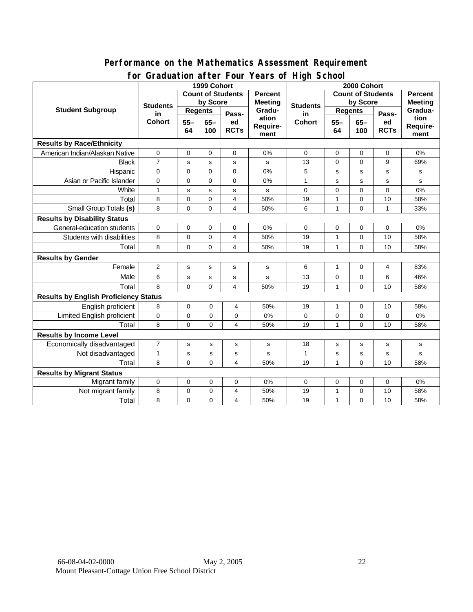#### **Performance on the Mathematics Assessment Requirement for Graduation after Four Years of High School**

|                                              | $2.501 + 0.01$<br>1999 Cohort          |                          |               |                   |                                  | $1041301 \cdot 10911001$<br>2000 Cohort |                          |                |                   |                                  |  |
|----------------------------------------------|----------------------------------------|--------------------------|---------------|-------------------|----------------------------------|-----------------------------------------|--------------------------|----------------|-------------------|----------------------------------|--|
| <b>Student Subgroup</b>                      |                                        | <b>Count of Students</b> |               |                   | <b>Percent</b><br><b>Meeting</b> | <b>Students</b>                         | <b>Count of Students</b> |                |                   | <b>Percent</b><br><b>Meeting</b> |  |
|                                              | <b>Students</b><br>in<br><b>Cohort</b> | by Score                 |               |                   |                                  |                                         | by Score                 |                |                   |                                  |  |
|                                              |                                        | <b>Regents</b>           |               | Pass-             | Gradu-                           | in                                      | <b>Regents</b>           |                | Pass-             | Gradua-                          |  |
|                                              |                                        | $55 -$<br>64             | $65 -$<br>100 | ed<br><b>RCTs</b> | ation<br>Require-<br>ment        | <b>Cohort</b>                           | $55 -$<br>64             | $65-$<br>100   | ed<br><b>RCTs</b> | tion<br>Require-<br>ment         |  |
| <b>Results by Race/Ethnicity</b>             |                                        |                          |               |                   |                                  |                                         |                          |                |                   |                                  |  |
| American Indian/Alaskan Native               | 0                                      | $\mathbf 0$              | $\Omega$      | $\mathbf 0$       | 0%                               | $\mathbf 0$                             | $\Omega$                 | $\mathbf 0$    | $\mathbf 0$       | 0%                               |  |
| <b>Black</b>                                 | $\overline{7}$                         | s                        | s             | s                 | s                                | 13                                      | $\mathbf 0$              | 0              | 9                 | 69%                              |  |
| Hispanic                                     | 0                                      | $\mathbf 0$              | $\mathbf 0$   | $\mathbf 0$       | 0%                               | 5                                       | s                        | $\mathbf s$    | s                 | ${\tt s}$                        |  |
| Asian or Pacific Islander                    | 0                                      | 0                        | 0             | 0                 | 0%                               | $\mathbf{1}$                            | s                        | s              | s                 | s                                |  |
| White                                        | $\mathbf{1}$                           | s                        | s             | s                 | s                                | $\mathbf 0$                             | $\mathbf 0$              | 0              | 0                 | 0%                               |  |
| Total                                        | 8                                      | $\mathbf 0$              | $\mathbf 0$   | 4                 | 50%                              | 19                                      | $\mathbf{1}$             | 0              | 10                | 58%                              |  |
| Small Group Totals (s)                       | 8                                      | $\mathbf 0$              | $\Omega$      | 4                 | 50%                              | 6                                       | 1                        | $\overline{0}$ | 1                 | 33%                              |  |
| <b>Results by Disability Status</b>          |                                        |                          |               |                   |                                  |                                         |                          |                |                   |                                  |  |
| General-education students                   | 0                                      | $\mathbf 0$              | $\mathbf 0$   | 0                 | 0%                               | 0                                       | 0                        | 0              | 0                 | 0%                               |  |
| Students with disabilities                   | 8                                      | $\mathbf 0$              | $\mathbf 0$   | 4                 | 50%                              | 19                                      | $\mathbf{1}$             | 0              | 10                | 58%                              |  |
| Total                                        | 8                                      | $\mathbf 0$              | $\Omega$      | $\overline{4}$    | 50%                              | 19                                      | 1                        | $\mathbf 0$    | 10                | 58%                              |  |
| <b>Results by Gender</b>                     |                                        |                          |               |                   |                                  |                                         |                          |                |                   |                                  |  |
| Female                                       | $\overline{\mathbf{c}}$                | s                        | $\mathbf s$   | s                 | s                                | 6                                       | 1                        | 0              | 4                 | 83%                              |  |
| Male                                         | 6                                      | S                        | $\mathbf s$   | s                 | s                                | 13                                      | 0                        | 0              | 6                 | 46%                              |  |
| Total                                        | 8                                      | $\mathbf 0$              | $\mathbf 0$   | 4                 | 50%                              | 19                                      | $\mathbf{1}$             | $\mathbf 0$    | 10                | 58%                              |  |
| <b>Results by English Proficiency Status</b> |                                        |                          |               |                   |                                  |                                         |                          |                |                   |                                  |  |
| English proficient                           | 8                                      | 0                        | 0             | 4                 | 50%                              | 19                                      | 1                        | 0              | 10                | 58%                              |  |
| Limited English proficient                   | 0                                      | 0                        | 0             | 0                 | 0%                               | 0                                       | 0                        | 0              | 0                 | 0%                               |  |
| Total                                        | 8                                      | 0                        | 0             | 4                 | 50%                              | 19                                      | 1                        | 0              | 10                | 58%                              |  |
| <b>Results by Income Level</b>               |                                        |                          |               |                   |                                  |                                         |                          |                |                   |                                  |  |
| Economically disadvantaged                   | $\overline{7}$                         | s                        | s             | s                 | s                                | 18                                      | s                        | $\mathbf s$    | s                 | s                                |  |
| Not disadvantaged                            | $\mathbf{1}$                           | s                        | $\mathbf s$   | s                 | s                                | 1                                       | s                        | s              | s                 | s                                |  |
| Total                                        | 8                                      | $\Omega$                 | $\Omega$      | 4                 | 50%                              | 19                                      | $\mathbf{1}$             | $\overline{0}$ | 10                | 58%                              |  |
| <b>Results by Migrant Status</b>             |                                        |                          |               |                   |                                  |                                         |                          |                |                   |                                  |  |
| Migrant family                               | 0                                      | 0                        | 0             | 0                 | 0%                               | 0                                       | 0                        | 0              | 0                 | 0%                               |  |
| Not migrant family                           | 8                                      | $\mathbf 0$              | 0             | 4                 | 50%                              | 19                                      | $\mathbf{1}$             | 0              | 10                | 58%                              |  |
| Total                                        | 8                                      | $\mathbf 0$              | 0             | $\overline{4}$    | 50%                              | 19                                      | $\mathbf{1}$             | 0              | 10                | 58%                              |  |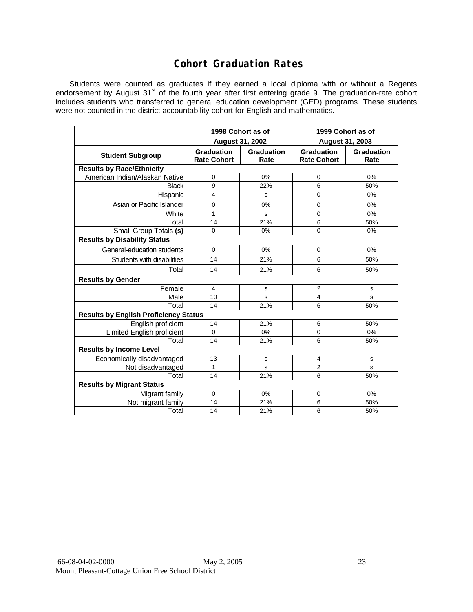### **Cohort Graduation Rates**

Students were counted as graduates if they earned a local diploma with or without a Regents endorsement by August 31<sup>st</sup> of the fourth year after first entering grade 9. The graduation-rate cohort includes students who transferred to general education development (GED) programs. These students were not counted in the district accountability cohort for English and mathematics.

|                                              |                                         | 1998 Cohort as of<br><b>August 31, 2002</b> | 1999 Cohort as of<br>August 31, 2003    |                           |  |  |  |  |  |
|----------------------------------------------|-----------------------------------------|---------------------------------------------|-----------------------------------------|---------------------------|--|--|--|--|--|
| <b>Student Subgroup</b>                      | <b>Graduation</b><br><b>Rate Cohort</b> | Graduation<br>Rate                          | <b>Graduation</b><br><b>Rate Cohort</b> | <b>Graduation</b><br>Rate |  |  |  |  |  |
| <b>Results by Race/Ethnicity</b>             |                                         |                                             |                                         |                           |  |  |  |  |  |
| American Indian/Alaskan Native               | $\mathbf 0$                             | 0%                                          | $\mathbf 0$                             | 0%                        |  |  |  |  |  |
| <b>Black</b>                                 | 9                                       | 22%                                         | 6                                       | 50%                       |  |  |  |  |  |
| Hispanic                                     | $\overline{4}$                          | s                                           | $\mathbf 0$                             | 0%                        |  |  |  |  |  |
| Asian or Pacific Islander                    | 0                                       | 0%                                          | 0                                       | 0%                        |  |  |  |  |  |
| White                                        | $\mathbf{1}$                            | s                                           | $\mathbf 0$                             | 0%                        |  |  |  |  |  |
| Total                                        | 14                                      | 21%                                         | 6                                       | 50%                       |  |  |  |  |  |
| <b>Small Group Totals (s)</b>                | $\mathbf 0$                             | 0%                                          | $\mathbf 0$                             | 0%                        |  |  |  |  |  |
| <b>Results by Disability Status</b>          |                                         |                                             |                                         |                           |  |  |  |  |  |
| General-education students                   | $\mathbf 0$                             | $0\%$                                       | $\mathbf 0$                             | 0%                        |  |  |  |  |  |
| Students with disabilities                   | 14                                      | 21%                                         | 6                                       | 50%                       |  |  |  |  |  |
| Total                                        | 14                                      | 21%                                         | 6                                       | 50%                       |  |  |  |  |  |
| <b>Results by Gender</b>                     |                                         |                                             |                                         |                           |  |  |  |  |  |
| Female                                       | 4                                       | s                                           | 2                                       | s                         |  |  |  |  |  |
| Male                                         | 10                                      | s                                           | 4                                       | s                         |  |  |  |  |  |
| Total                                        | 14                                      | 21%                                         | 6                                       | 50%                       |  |  |  |  |  |
| <b>Results by English Proficiency Status</b> |                                         |                                             |                                         |                           |  |  |  |  |  |
| English proficient                           | 14                                      | 21%                                         | 6                                       | 50%                       |  |  |  |  |  |
| <b>Limited English proficient</b>            | $\Omega$                                | 0%                                          | $\mathbf 0$                             | 0%                        |  |  |  |  |  |
| Total                                        | 14                                      | 21%                                         | 6                                       | 50%                       |  |  |  |  |  |
| <b>Results by Income Level</b>               |                                         |                                             |                                         |                           |  |  |  |  |  |
| Economically disadvantaged                   | 13                                      | s                                           | 4                                       | s                         |  |  |  |  |  |
| Not disadvantaged                            | $\mathbf{1}$                            | s                                           | $\overline{2}$                          | s                         |  |  |  |  |  |
| Total                                        | 14                                      | 21%                                         | 6                                       | 50%                       |  |  |  |  |  |
| <b>Results by Migrant Status</b>             |                                         |                                             |                                         |                           |  |  |  |  |  |
| Migrant family                               | $\mathbf 0$                             | $0\%$                                       | $\mathbf 0$                             | 0%                        |  |  |  |  |  |
| Not migrant family                           | 14                                      | 21%                                         | 6                                       | 50%                       |  |  |  |  |  |
| Total                                        | 14                                      | 21%                                         | 6                                       | 50%                       |  |  |  |  |  |